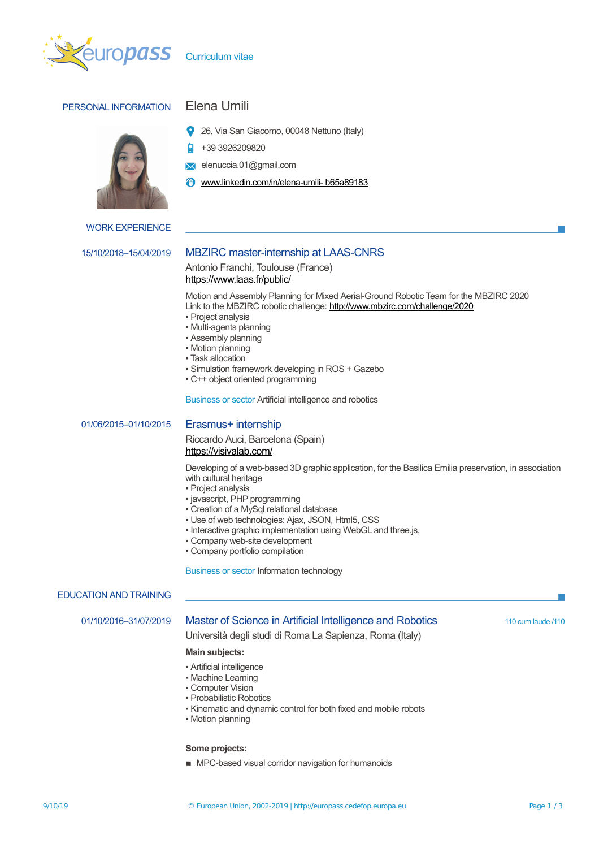

# PERSONAL INFORMATION Elena Umili



- 26, Via San Giacomo, 00048 Nettuno (Italy)
- +39 3926209820
- elenuccia.01@gmail.com
- **@** [www.linkedin.com/in/elena-umili- b65a89183](http://www.linkedin.com/in/elena-umili-%20b65a89183)

# WORK EXPERIENCE

# 15/10/2018–15/04/2019 MBZIRC master-internship at LAAS-CNRS

Antonio Franchi, Toulouse (France) <https://www.laas.fr/public/>

Motion and Assembly Planning for Mixed Aerial-Ground Robotic Team for the MBZIRC 2020 Link to the MBZIRC robotic challenge:<http://www.mbzirc.com/challenge/2020>

- Project analysis
- Multi-agents planning
- Assembly planning
- Motion planning
- **· Task allocation**
- Simulation framework developing in ROS + Gazebo
- C++ object oriented programming

Business or sector Artificial intelligence and robotics

01/06/2015–01/10/2015 Erasmus+ internship

Riccardo Auci, Barcelona (Spain) <https://visivalab.com/>

Developing of a web-based 3D graphic application, for the Basilica Emilia preservation, in association with cultural heritage

- Project analysis
- javascript, PHP programming
- Creation of a MySql relational database
- Use of web technologies: Ajax, JSON, Html5, CSS
- Interactive graphic implementation using WebGL and three.js,
- Company web-site development
- Company portfolio compilation

Business or sector Information technology

### EDUCATION AND TRAINING

### 01/10/2016-31/07/2019 Master of Science in Artificial Intelligence and Robotics 110 cum laude /110

Università degli studi di Roma La Sapienza, Roma (Italy)

### **Main subjects:**

- **Artificial intelligence**
- Machine Learning
- Computer Vision
- Probabilistic Robotics
- Kinematic and dynamic control for both fixed and mobile robots
- Motion planning

### **Some projects:**

■ MPC-based visual corridor navigation for humanoids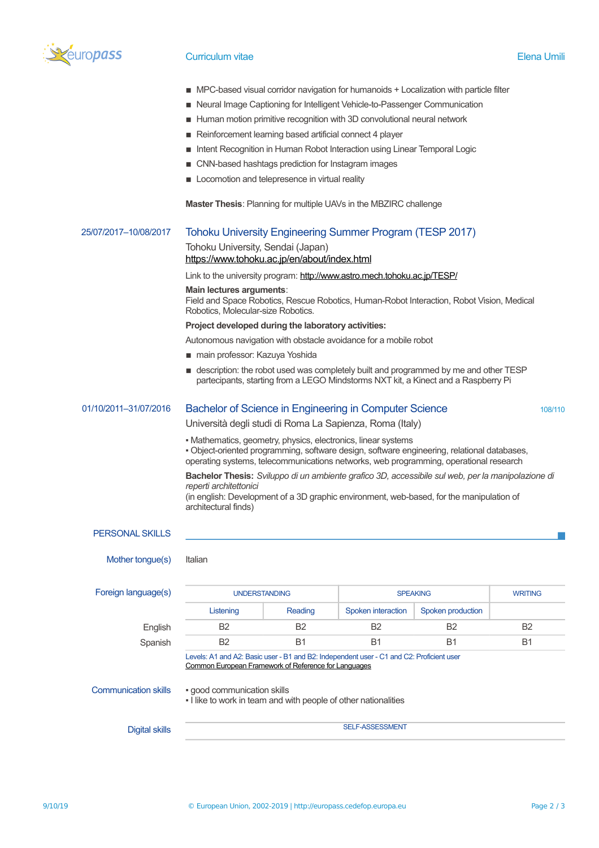

# Curriculum vitae Elena Umili

- MPC-based visual corridor navigation for humanoids + Localization with particle filter
- Neural Image Captioning for Intelligent Vehicle-to-Passenger Communication
- Human motion primitive recognition with 3D convolutional neural network
- Reinforcement learning based artificial connect 4 player
- Intent Recognition in Human Robot Interaction using Linear Temporal Logic
- CNN-based hashtags prediction for Instagram images
- **EXECOMOTED LOCOMOTED And TEED FEEDER** LOCOMOTED **EXECUTE**

**Master Thesis**: Planning for multiple UAVs in the MBZIRC challenge

| 25/07/2017-10/08/2017       | <b>Tohoku University Engineering Summer Program (TESP 2017)</b>                                                                                                                                                                                 |                |                    |                   |                |  |  |
|-----------------------------|-------------------------------------------------------------------------------------------------------------------------------------------------------------------------------------------------------------------------------------------------|----------------|--------------------|-------------------|----------------|--|--|
|                             | Tohoku University, Sendai (Japan)                                                                                                                                                                                                               |                |                    |                   |                |  |  |
|                             | https://www.tohoku.ac.jp/en/about/index.html                                                                                                                                                                                                    |                |                    |                   |                |  |  |
|                             | Link to the university program: http://www.astro.mech.tohoku.ac.jp/TESP/                                                                                                                                                                        |                |                    |                   |                |  |  |
|                             | Main lectures arguments:<br>Field and Space Robotics, Rescue Robotics, Human-Robot Interaction, Robot Vision, Medical<br>Robotics, Molecular-size Robotics.                                                                                     |                |                    |                   |                |  |  |
|                             | Project developed during the laboratory activities:                                                                                                                                                                                             |                |                    |                   |                |  |  |
|                             | Autonomous navigation with obstacle avoidance for a mobile robot                                                                                                                                                                                |                |                    |                   |                |  |  |
|                             | ■ main professor: Kazuya Yoshida                                                                                                                                                                                                                |                |                    |                   |                |  |  |
|                             | ■ description: the robot used was completely built and programmed by me and other TESP<br>partecipants, starting from a LEGO Mindstorms NXT kit, a Kinect and a Raspberry Pi                                                                    |                |                    |                   |                |  |  |
| 01/10/2011-31/07/2016       | Bachelor of Science in Engineering in Computer Science                                                                                                                                                                                          | 108/110        |                    |                   |                |  |  |
|                             | Università degli studi di Roma La Sapienza, Roma (Italy)                                                                                                                                                                                        |                |                    |                   |                |  |  |
|                             | • Mathematics, geometry, physics, electronics, linear systems                                                                                                                                                                                   |                |                    |                   |                |  |  |
|                             | · Object-oriented programming, software design, software engineering, relational databases,<br>operating systems, telecommunications networks, web programming, operational research                                                            |                |                    |                   |                |  |  |
|                             | Bachelor Thesis: Sviluppo di un ambiente grafico 3D, accessibile sul web, per la manipolazione di<br>reperti architettonici<br>(in english: Development of a 3D graphic environment, web-based, for the manipulation of<br>architectural finds) |                |                    |                   |                |  |  |
| <b>PERSONAL SKILLS</b>      |                                                                                                                                                                                                                                                 |                |                    |                   |                |  |  |
| Mother tongue(s)            | Italian                                                                                                                                                                                                                                         |                |                    |                   |                |  |  |
| Foreign language(s)         | <b>UNDERSTANDING</b>                                                                                                                                                                                                                            |                |                    | <b>SPEAKING</b>   | <b>WRITING</b> |  |  |
|                             | Listening                                                                                                                                                                                                                                       | Reading        | Spoken interaction | Spoken production |                |  |  |
| English                     | B <sub>2</sub>                                                                                                                                                                                                                                  | B <sub>2</sub> | <b>B2</b>          | B2                | B <sub>2</sub> |  |  |
| Spanish                     | B <sub>2</sub>                                                                                                                                                                                                                                  | <b>B1</b>      | <b>B1</b>          | B1                | <b>B1</b>      |  |  |
|                             | Levels: A1 and A2: Basic user - B1 and B2: Independent user - C1 and C2: Proficient user<br><u>Common European Framework of Reference for Languages</u>                                                                                         |                |                    |                   |                |  |  |
| <b>Communication skills</b> | · good communication skills<br>- I like to work in team and with people of other nationalities                                                                                                                                                  |                |                    |                   |                |  |  |
| <b>Digital skills</b>       | <b>SELF-ASSESSMENT</b>                                                                                                                                                                                                                          |                |                    |                   |                |  |  |
|                             |                                                                                                                                                                                                                                                 |                |                    |                   |                |  |  |